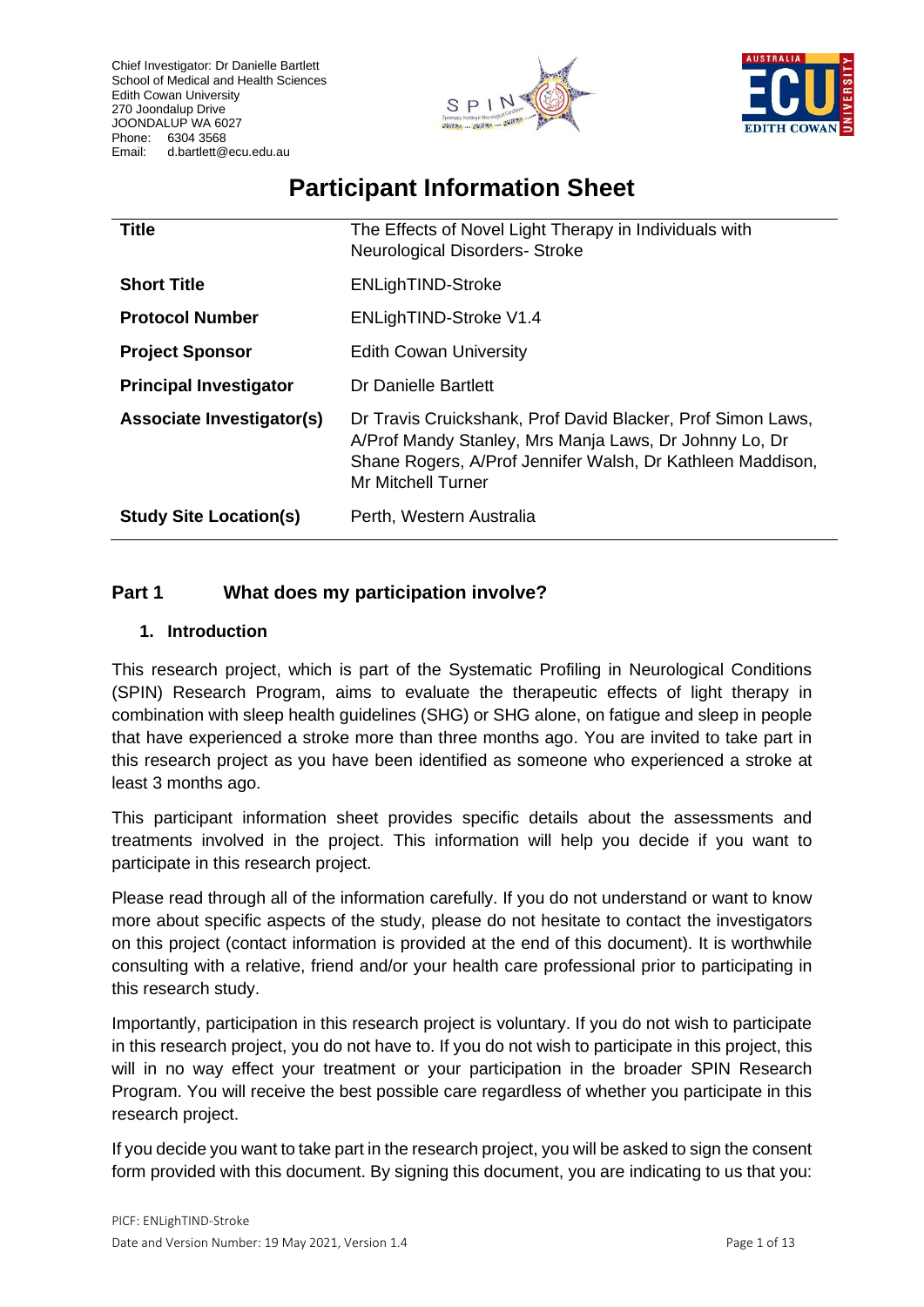



# **Participant Information Sheet**

| <b>Title</b>                  | The Effects of Novel Light Therapy in Individuals with<br><b>Neurological Disorders- Stroke</b>                                                                                                           |
|-------------------------------|-----------------------------------------------------------------------------------------------------------------------------------------------------------------------------------------------------------|
| <b>Short Title</b>            | <b>ENLighTIND-Stroke</b>                                                                                                                                                                                  |
| <b>Protocol Number</b>        | ENLighTIND-Stroke V1.4                                                                                                                                                                                    |
| <b>Project Sponsor</b>        | <b>Edith Cowan University</b>                                                                                                                                                                             |
| <b>Principal Investigator</b> | Dr Danielle Bartlett                                                                                                                                                                                      |
| Associate Investigator(s)     | Dr Travis Cruickshank, Prof David Blacker, Prof Simon Laws,<br>A/Prof Mandy Stanley, Mrs Manja Laws, Dr Johnny Lo, Dr<br>Shane Rogers, A/Prof Jennifer Walsh, Dr Kathleen Maddison,<br>Mr Mitchell Turner |
| <b>Study Site Location(s)</b> | Perth, Western Australia                                                                                                                                                                                  |

# **Part 1 What does my participation involve?**

## **1. Introduction**

This research project, which is part of the Systematic Profiling in Neurological Conditions (SPIN) Research Program, aims to evaluate the therapeutic effects of light therapy in combination with sleep health guidelines (SHG) or SHG alone, on fatigue and sleep in people that have experienced a stroke more than three months ago. You are invited to take part in this research project as you have been identified as someone who experienced a stroke at least 3 months ago.

This participant information sheet provides specific details about the assessments and treatments involved in the project. This information will help you decide if you want to participate in this research project.

Please read through all of the information carefully. If you do not understand or want to know more about specific aspects of the study, please do not hesitate to contact the investigators on this project (contact information is provided at the end of this document). It is worthwhile consulting with a relative, friend and/or your health care professional prior to participating in this research study.

Importantly, participation in this research project is voluntary. If you do not wish to participate in this research project, you do not have to. If you do not wish to participate in this project, this will in no way effect your treatment or your participation in the broader SPIN Research Program. You will receive the best possible care regardless of whether you participate in this research project.

If you decide you want to take part in the research project, you will be asked to sign the consent form provided with this document. By signing this document, you are indicating to us that you: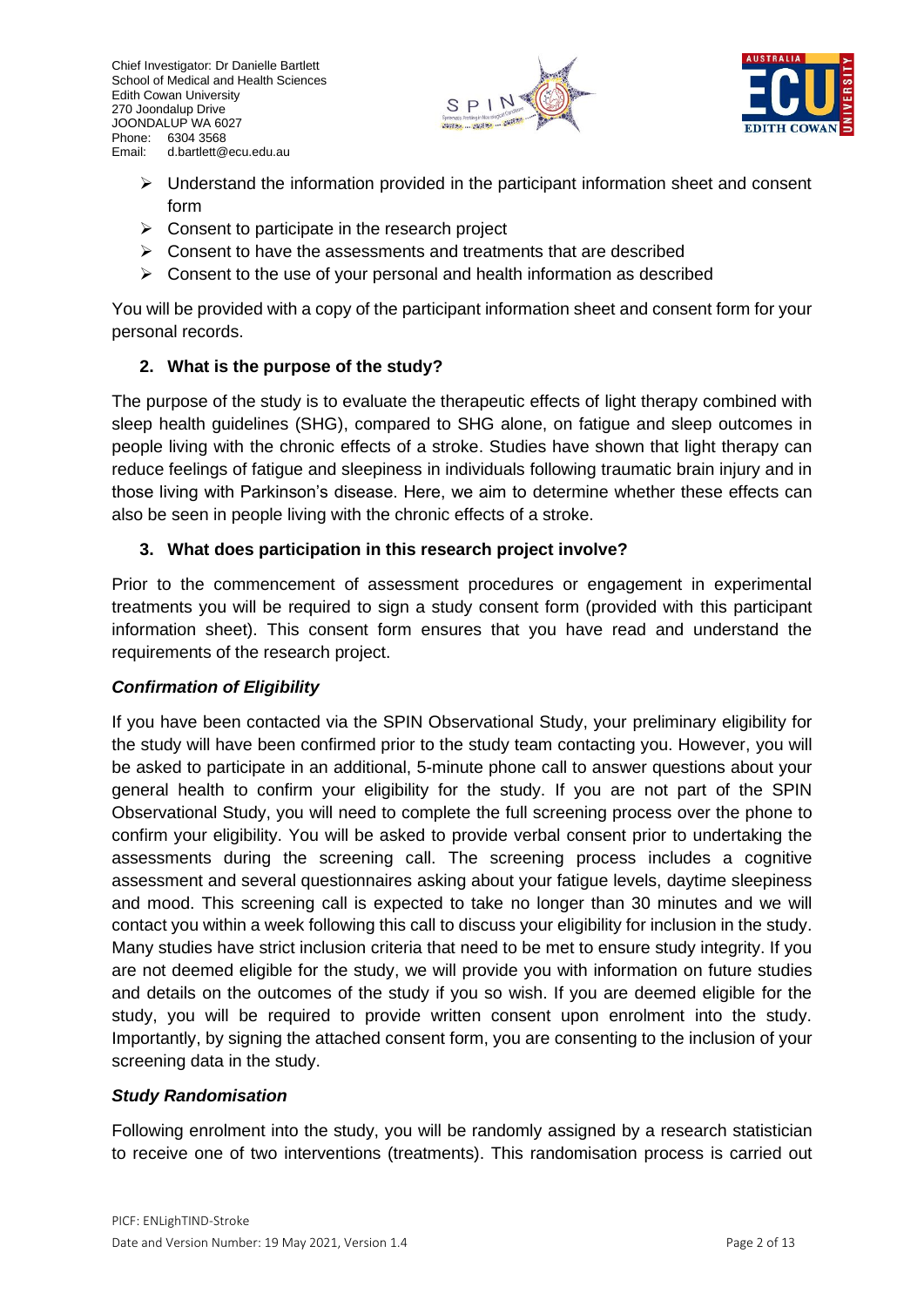



- ➢ Understand the information provided in the participant information sheet and consent form
- $\triangleright$  Consent to participate in the research project
- $\triangleright$  Consent to have the assessments and treatments that are described
- $\triangleright$  Consent to the use of your personal and health information as described

You will be provided with a copy of the participant information sheet and consent form for your personal records.

## **2. What is the purpose of the study?**

The purpose of the study is to evaluate the therapeutic effects of light therapy combined with sleep health guidelines (SHG), compared to SHG alone, on fatigue and sleep outcomes in people living with the chronic effects of a stroke. Studies have shown that light therapy can reduce feelings of fatigue and sleepiness in individuals following traumatic brain injury and in those living with Parkinson's disease. Here, we aim to determine whether these effects can also be seen in people living with the chronic effects of a stroke.

## **3. What does participation in this research project involve?**

Prior to the commencement of assessment procedures or engagement in experimental treatments you will be required to sign a study consent form (provided with this participant information sheet). This consent form ensures that you have read and understand the requirements of the research project.

#### *Confirmation of Eligibility*

If you have been contacted via the SPIN Observational Study, your preliminary eligibility for the study will have been confirmed prior to the study team contacting you. However, you will be asked to participate in an additional, 5-minute phone call to answer questions about your general health to confirm your eligibility for the study. If you are not part of the SPIN Observational Study, you will need to complete the full screening process over the phone to confirm your eligibility. You will be asked to provide verbal consent prior to undertaking the assessments during the screening call. The screening process includes a cognitive assessment and several questionnaires asking about your fatigue levels, daytime sleepiness and mood. This screening call is expected to take no longer than 30 minutes and we will contact you within a week following this call to discuss your eligibility for inclusion in the study. Many studies have strict inclusion criteria that need to be met to ensure study integrity. If you are not deemed eligible for the study, we will provide you with information on future studies and details on the outcomes of the study if you so wish. If you are deemed eligible for the study, you will be required to provide written consent upon enrolment into the study. Importantly, by signing the attached consent form, you are consenting to the inclusion of your screening data in the study.

#### *Study Randomisation*

Following enrolment into the study, you will be randomly assigned by a research statistician to receive one of two interventions (treatments). This randomisation process is carried out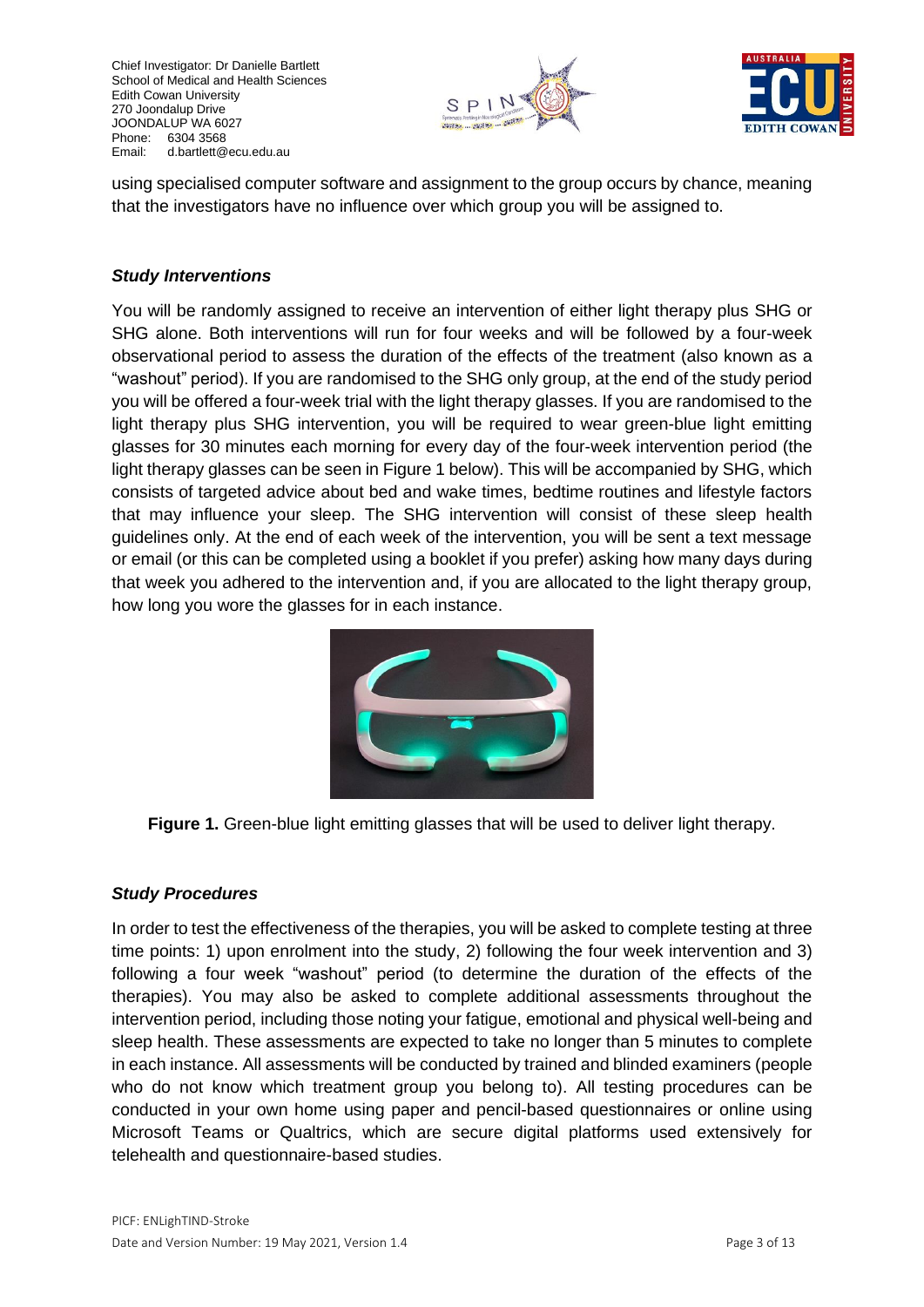Chief Investigator: Dr Danielle Bartlett School of Medical and Health Sciences Edith Cowan University 270 Joondalup Drive JOONDALUP WA 6027 Phone: 6304 3568<br>Email: d.bartlett@ d.bartlett@ecu.edu.au





using specialised computer software and assignment to the group occurs by chance, meaning that the investigators have no influence over which group you will be assigned to.

#### *Study Interventions*

You will be randomly assigned to receive an intervention of either light therapy plus SHG or SHG alone. Both interventions will run for four weeks and will be followed by a four-week observational period to assess the duration of the effects of the treatment (also known as a "washout" period). If you are randomised to the SHG only group, at the end of the study period you will be offered a four-week trial with the light therapy glasses. If you are randomised to the light therapy plus SHG intervention, you will be required to wear green-blue light emitting glasses for 30 minutes each morning for every day of the four-week intervention period (the light therapy glasses can be seen in Figure 1 below). This will be accompanied by SHG, which consists of targeted advice about bed and wake times, bedtime routines and lifestyle factors that may influence your sleep. The SHG intervention will consist of these sleep health guidelines only. At the end of each week of the intervention, you will be sent a text message or email (or this can be completed using a booklet if you prefer) asking how many days during that week you adhered to the intervention and, if you are allocated to the light therapy group, how long you wore the glasses for in each instance.



**Figure 1.** Green-blue light emitting glasses that will be used to deliver light therapy.

#### *Study Procedures*

In order to test the effectiveness of the therapies, you will be asked to complete testing at three time points: 1) upon enrolment into the study, 2) following the four week intervention and 3) following a four week "washout" period (to determine the duration of the effects of the therapies). You may also be asked to complete additional assessments throughout the intervention period, including those noting your fatigue, emotional and physical well-being and sleep health. These assessments are expected to take no longer than 5 minutes to complete in each instance. All assessments will be conducted by trained and blinded examiners (people who do not know which treatment group you belong to). All testing procedures can be conducted in your own home using paper and pencil-based questionnaires or online using Microsoft Teams or Qualtrics, which are secure digital platforms used extensively for telehealth and questionnaire-based studies.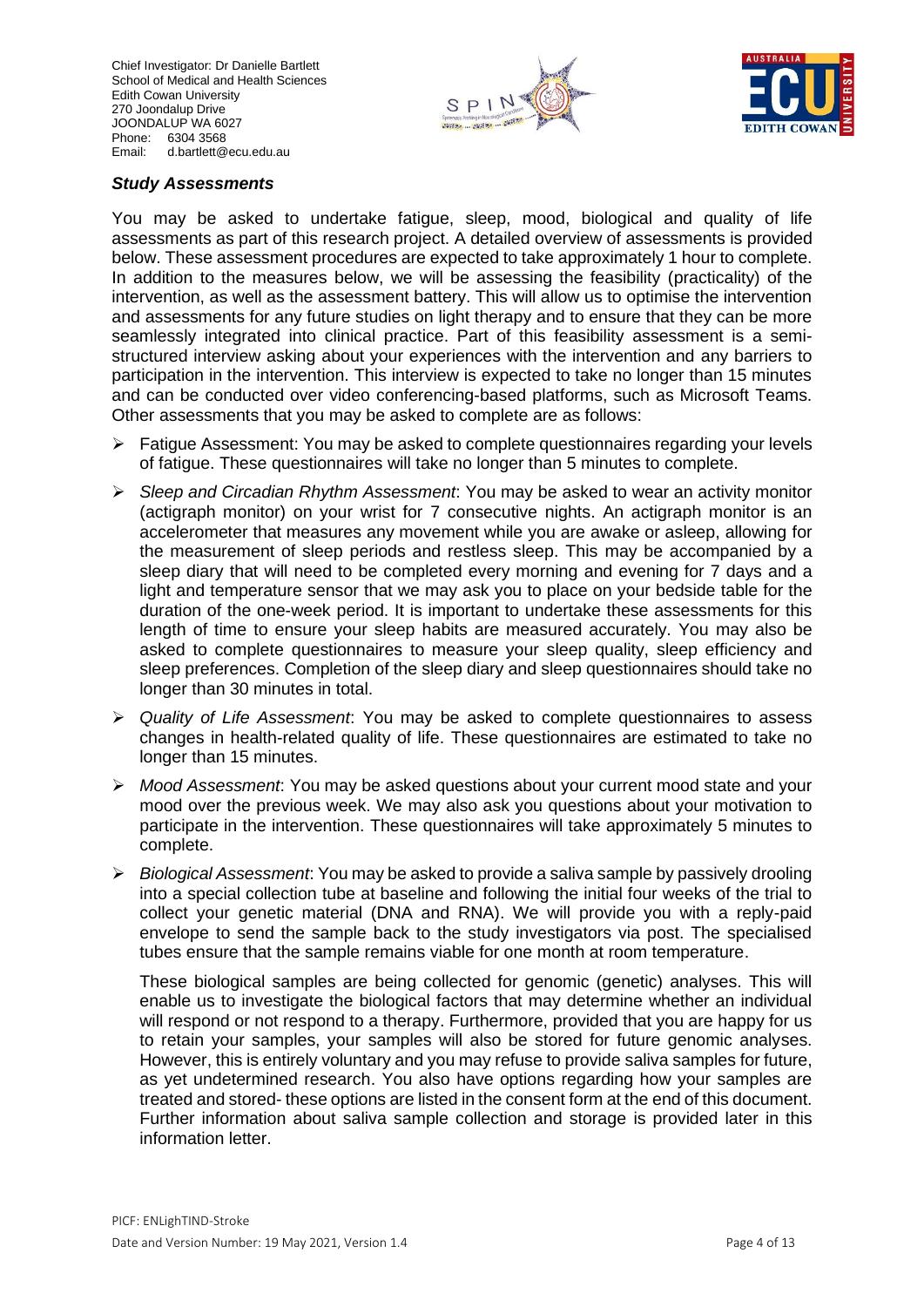Chief Investigator: Dr Danielle Bartlett School of Medical and Health Sciences Edith Cowan University 270 Joondalup Drive JOONDALUP WA 6027 Phone: 6304 3568<br>Email: d.bartlett@ d.bartlett@ecu.edu.au





#### *Study Assessments*

You may be asked to undertake fatigue, sleep, mood, biological and quality of life assessments as part of this research project. A detailed overview of assessments is provided below. These assessment procedures are expected to take approximately 1 hour to complete. In addition to the measures below, we will be assessing the feasibility (practicality) of the intervention, as well as the assessment battery. This will allow us to optimise the intervention and assessments for any future studies on light therapy and to ensure that they can be more seamlessly integrated into clinical practice. Part of this feasibility assessment is a semistructured interview asking about your experiences with the intervention and any barriers to participation in the intervention. This interview is expected to take no longer than 15 minutes and can be conducted over video conferencing-based platforms, such as Microsoft Teams. Other assessments that you may be asked to complete are as follows:

- $\triangleright$  Fatigue Assessment: You may be asked to complete questionnaires regarding your levels of fatigue. These questionnaires will take no longer than 5 minutes to complete.
- ➢ *Sleep and Circadian Rhythm Assessment*: You may be asked to wear an activity monitor (actigraph monitor) on your wrist for 7 consecutive nights. An actigraph monitor is an accelerometer that measures any movement while you are awake or asleep, allowing for the measurement of sleep periods and restless sleep. This may be accompanied by a sleep diary that will need to be completed every morning and evening for 7 days and a light and temperature sensor that we may ask you to place on your bedside table for the duration of the one-week period. It is important to undertake these assessments for this length of time to ensure your sleep habits are measured accurately. You may also be asked to complete questionnaires to measure your sleep quality, sleep efficiency and sleep preferences. Completion of the sleep diary and sleep questionnaires should take no longer than 30 minutes in total.
- ➢ *Quality of Life Assessment*: You may be asked to complete questionnaires to assess changes in health-related quality of life. These questionnaires are estimated to take no longer than 15 minutes.
- ➢ *Mood Assessment*: You may be asked questions about your current mood state and your mood over the previous week. We may also ask you questions about your motivation to participate in the intervention. These questionnaires will take approximately 5 minutes to complete.
- ➢ *Biological Assessment*: You may be asked to provide a saliva sample by passively drooling into a special collection tube at baseline and following the initial four weeks of the trial to collect your genetic material (DNA and RNA). We will provide you with a reply-paid envelope to send the sample back to the study investigators via post. The specialised tubes ensure that the sample remains viable for one month at room temperature.

These biological samples are being collected for genomic (genetic) analyses. This will enable us to investigate the biological factors that may determine whether an individual will respond or not respond to a therapy. Furthermore, provided that you are happy for us to retain your samples, your samples will also be stored for future genomic analyses. However, this is entirely voluntary and you may refuse to provide saliva samples for future, as yet undetermined research. You also have options regarding how your samples are treated and stored- these options are listed in the consent form at the end of this document. Further information about saliva sample collection and storage is provided later in this information letter.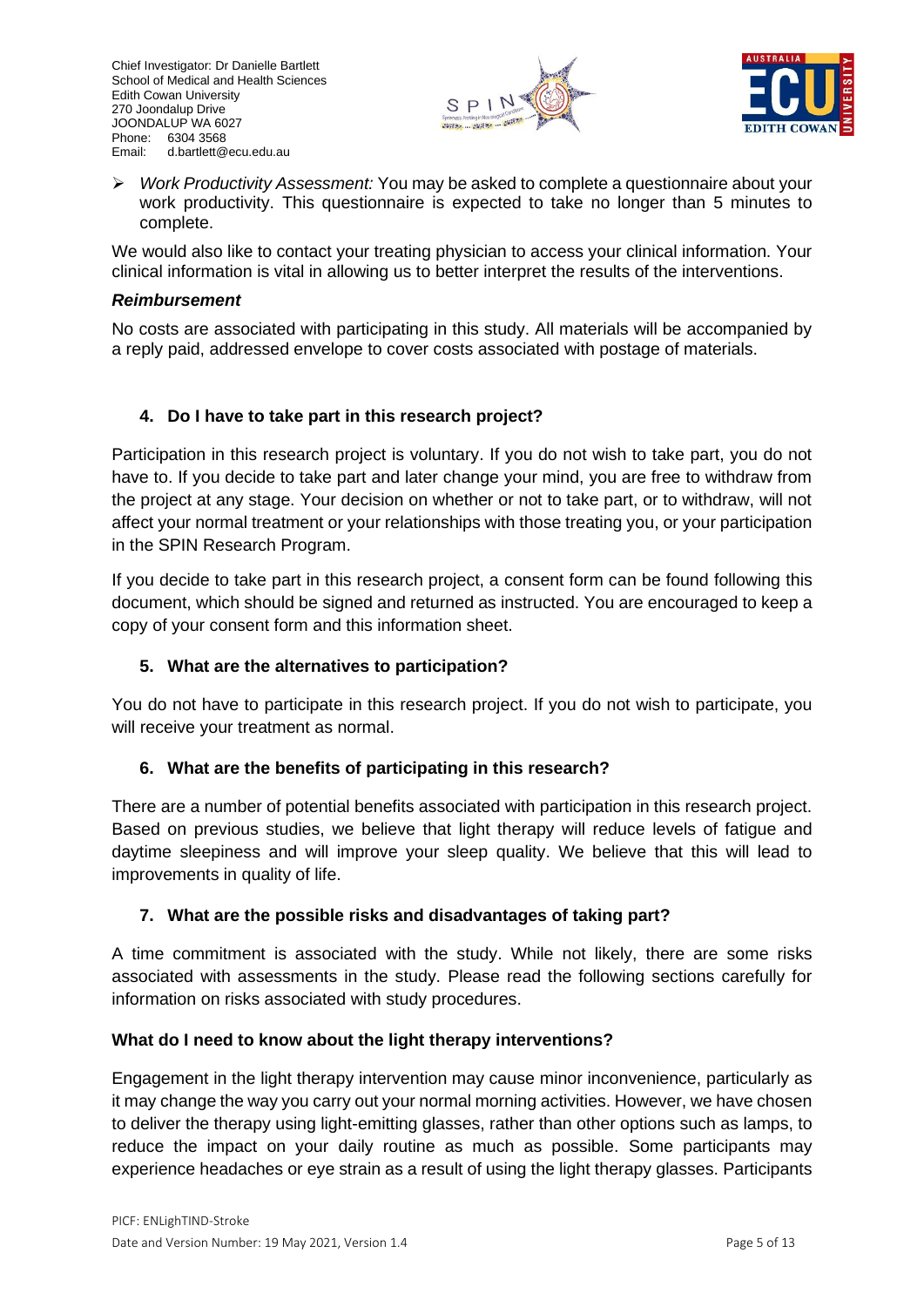



➢ *Work Productivity Assessment:* You may be asked to complete a questionnaire about your work productivity. This questionnaire is expected to take no longer than 5 minutes to complete.

We would also like to contact your treating physician to access your clinical information. Your clinical information is vital in allowing us to better interpret the results of the interventions.

#### *Reimbursement*

No costs are associated with participating in this study. All materials will be accompanied by a reply paid, addressed envelope to cover costs associated with postage of materials.

## **4. Do I have to take part in this research project?**

Participation in this research project is voluntary. If you do not wish to take part, you do not have to. If you decide to take part and later change your mind, you are free to withdraw from the project at any stage. Your decision on whether or not to take part, or to withdraw, will not affect your normal treatment or your relationships with those treating you, or your participation in the SPIN Research Program.

If you decide to take part in this research project, a consent form can be found following this document, which should be signed and returned as instructed. You are encouraged to keep a copy of your consent form and this information sheet.

## **5. What are the alternatives to participation?**

You do not have to participate in this research project. If you do not wish to participate, you will receive your treatment as normal.

## **6. What are the benefits of participating in this research?**

There are a number of potential benefits associated with participation in this research project. Based on previous studies, we believe that light therapy will reduce levels of fatigue and daytime sleepiness and will improve your sleep quality. We believe that this will lead to improvements in quality of life.

#### **7. What are the possible risks and disadvantages of taking part?**

A time commitment is associated with the study. While not likely, there are some risks associated with assessments in the study. Please read the following sections carefully for information on risks associated with study procedures.

#### **What do I need to know about the light therapy interventions?**

Engagement in the light therapy intervention may cause minor inconvenience, particularly as it may change the way you carry out your normal morning activities. However, we have chosen to deliver the therapy using light-emitting glasses, rather than other options such as lamps, to reduce the impact on your daily routine as much as possible. Some participants may experience headaches or eye strain as a result of using the light therapy glasses. Participants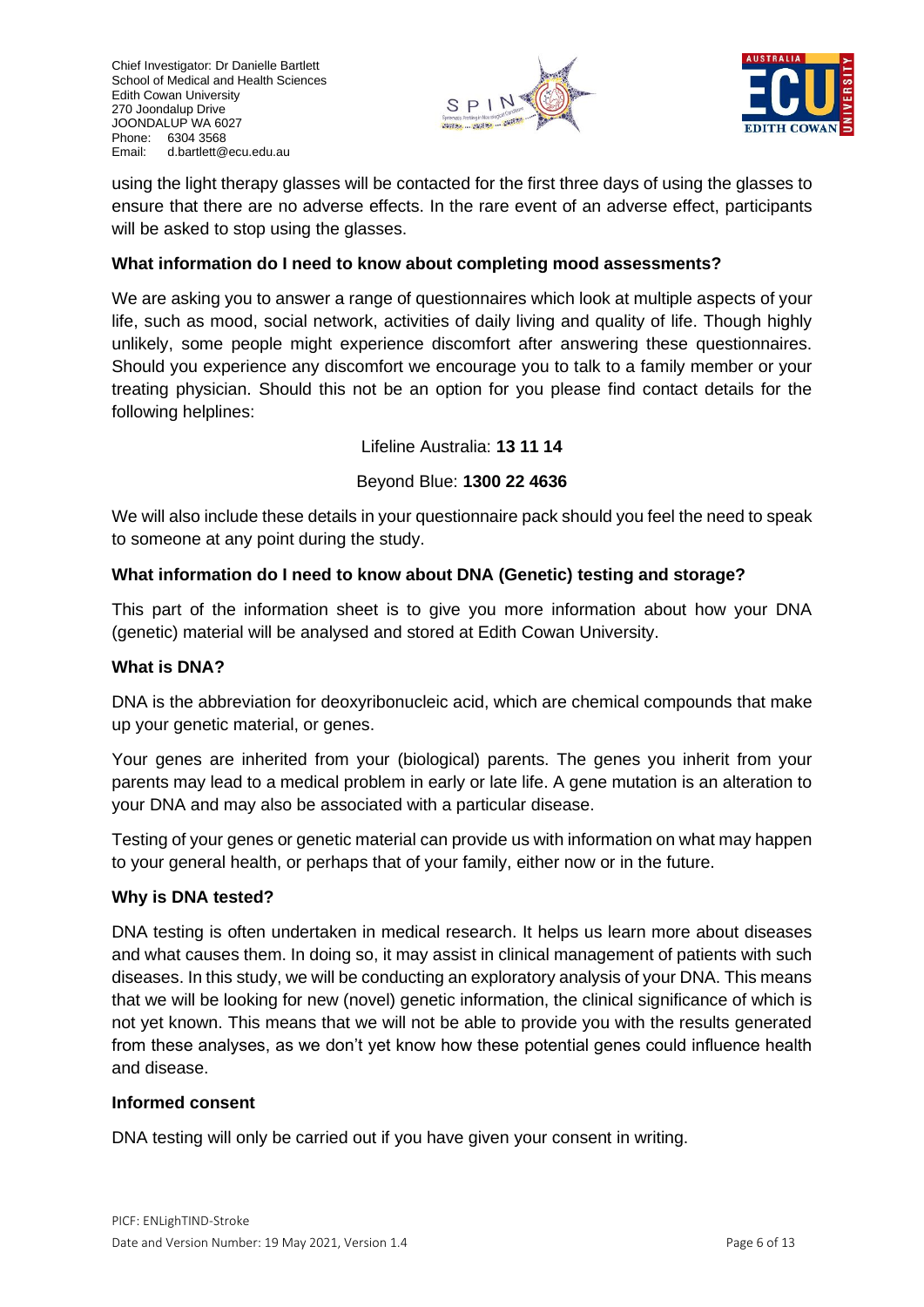



using the light therapy glasses will be contacted for the first three days of using the glasses to ensure that there are no adverse effects. In the rare event of an adverse effect, participants will be asked to stop using the glasses.

## **What information do I need to know about completing mood assessments?**

We are asking you to answer a range of questionnaires which look at multiple aspects of your life, such as mood, social network, activities of daily living and quality of life. Though highly unlikely, some people might experience discomfort after answering these questionnaires. Should you experience any discomfort we encourage you to talk to a family member or your treating physician. Should this not be an option for you please find contact details for the following helplines:

Lifeline Australia: **13 11 14**

## Beyond Blue: **1300 22 4636**

We will also include these details in your questionnaire pack should you feel the need to speak to someone at any point during the study.

## **What information do I need to know about DNA (Genetic) testing and storage?**

This part of the information sheet is to give you more information about how your DNA (genetic) material will be analysed and stored at Edith Cowan University.

#### **What is DNA?**

DNA is the abbreviation for deoxyribonucleic acid, which are chemical compounds that make up your genetic material, or genes.

Your genes are inherited from your (biological) parents. The genes you inherit from your parents may lead to a medical problem in early or late life. A gene mutation is an alteration to your DNA and may also be associated with a particular disease.

Testing of your genes or genetic material can provide us with information on what may happen to your general health, or perhaps that of your family, either now or in the future.

#### **Why is DNA tested?**

DNA testing is often undertaken in medical research. It helps us learn more about diseases and what causes them. In doing so, it may assist in clinical management of patients with such diseases. In this study, we will be conducting an exploratory analysis of your DNA. This means that we will be looking for new (novel) genetic information, the clinical significance of which is not yet known. This means that we will not be able to provide you with the results generated from these analyses, as we don't yet know how these potential genes could influence health and disease.

#### **Informed consent**

DNA testing will only be carried out if you have given your consent in writing.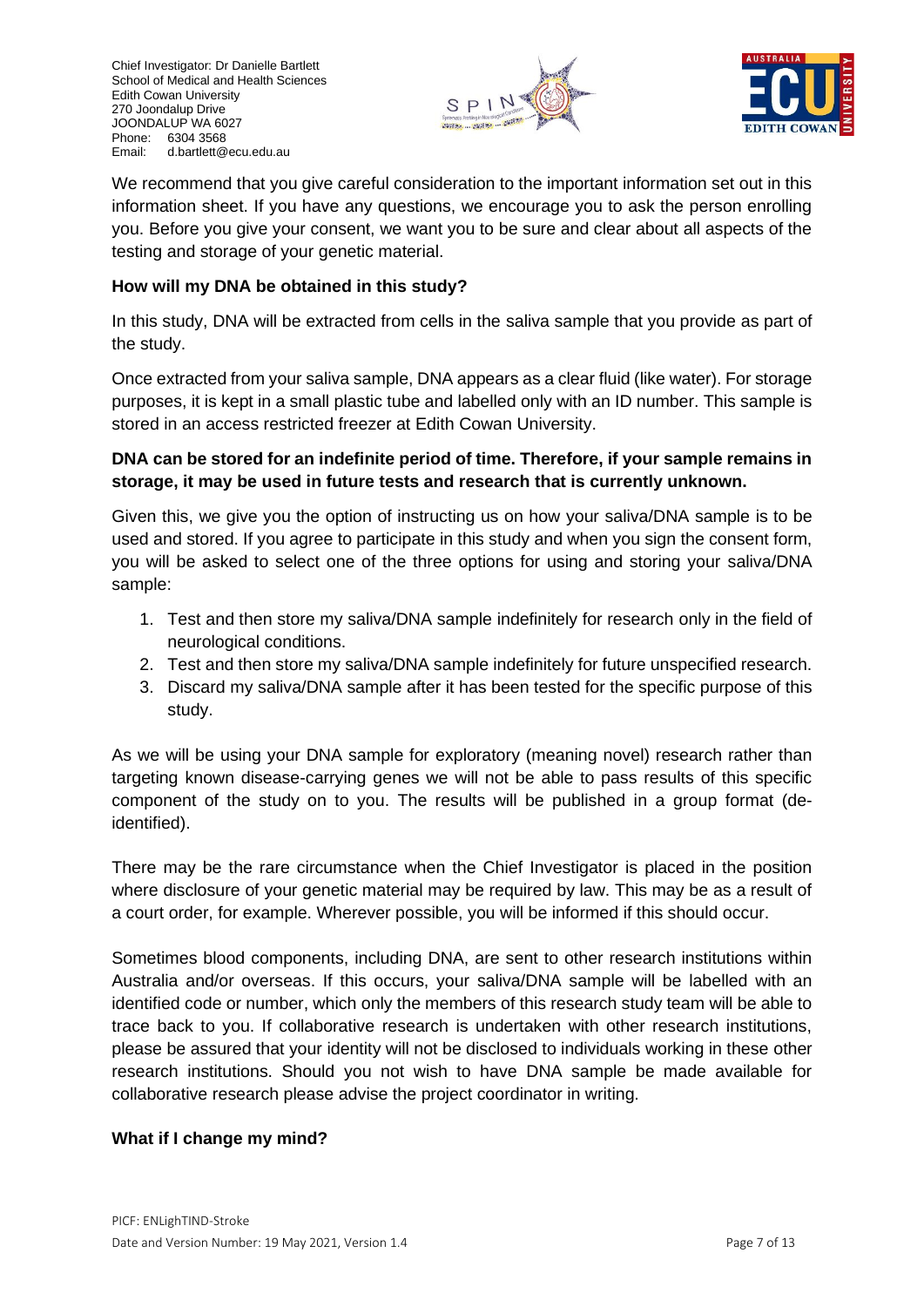



We recommend that you give careful consideration to the important information set out in this information sheet. If you have any questions, we encourage you to ask the person enrolling you. Before you give your consent, we want you to be sure and clear about all aspects of the testing and storage of your genetic material.

## **How will my DNA be obtained in this study?**

In this study, DNA will be extracted from cells in the saliva sample that you provide as part of the study.

Once extracted from your saliva sample, DNA appears as a clear fluid (like water). For storage purposes, it is kept in a small plastic tube and labelled only with an ID number. This sample is stored in an access restricted freezer at Edith Cowan University.

## **DNA can be stored for an indefinite period of time. Therefore, if your sample remains in storage, it may be used in future tests and research that is currently unknown.**

Given this, we give you the option of instructing us on how your saliva/DNA sample is to be used and stored. If you agree to participate in this study and when you sign the consent form, you will be asked to select one of the three options for using and storing your saliva/DNA sample:

- 1. Test and then store my saliva/DNA sample indefinitely for research only in the field of neurological conditions.
- 2. Test and then store my saliva/DNA sample indefinitely for future unspecified research.
- 3. Discard my saliva/DNA sample after it has been tested for the specific purpose of this study.

As we will be using your DNA sample for exploratory (meaning novel) research rather than targeting known disease-carrying genes we will not be able to pass results of this specific component of the study on to you. The results will be published in a group format (deidentified).

There may be the rare circumstance when the Chief Investigator is placed in the position where disclosure of your genetic material may be required by law. This may be as a result of a court order, for example. Wherever possible, you will be informed if this should occur.

Sometimes blood components, including DNA, are sent to other research institutions within Australia and/or overseas. If this occurs, your saliva/DNA sample will be labelled with an identified code or number, which only the members of this research study team will be able to trace back to you. If collaborative research is undertaken with other research institutions, please be assured that your identity will not be disclosed to individuals working in these other research institutions. Should you not wish to have DNA sample be made available for collaborative research please advise the project coordinator in writing.

#### **What if I change my mind?**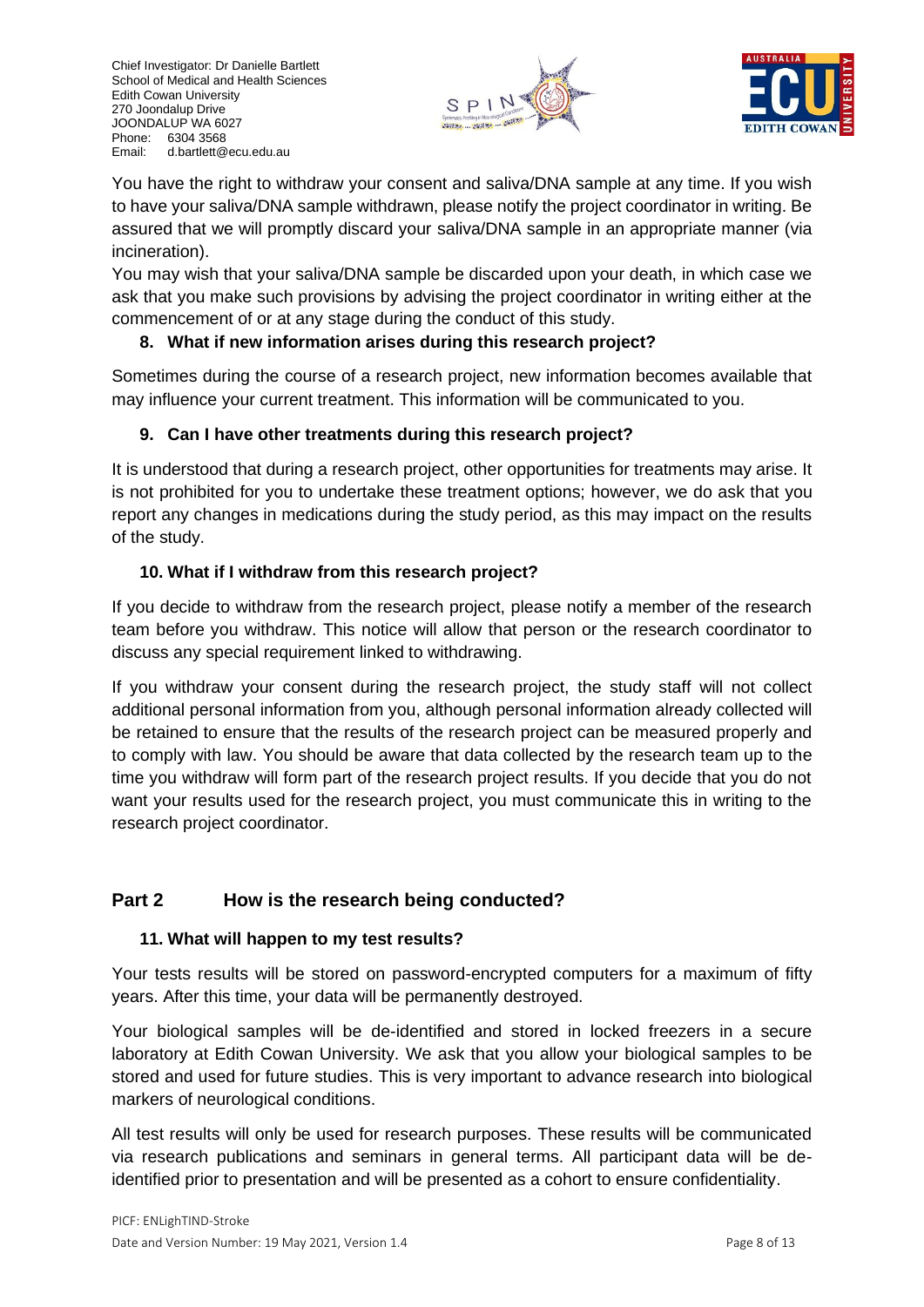



You have the right to withdraw your consent and saliva/DNA sample at any time. If you wish to have your saliva/DNA sample withdrawn, please notify the project coordinator in writing. Be assured that we will promptly discard your saliva/DNA sample in an appropriate manner (via incineration).

You may wish that your saliva/DNA sample be discarded upon your death, in which case we ask that you make such provisions by advising the project coordinator in writing either at the commencement of or at any stage during the conduct of this study.

## **8. What if new information arises during this research project?**

Sometimes during the course of a research project, new information becomes available that may influence your current treatment. This information will be communicated to you.

## **9. Can I have other treatments during this research project?**

It is understood that during a research project, other opportunities for treatments may arise. It is not prohibited for you to undertake these treatment options; however, we do ask that you report any changes in medications during the study period, as this may impact on the results of the study.

## **10. What if I withdraw from this research project?**

If you decide to withdraw from the research project, please notify a member of the research team before you withdraw. This notice will allow that person or the research coordinator to discuss any special requirement linked to withdrawing.

If you withdraw your consent during the research project, the study staff will not collect additional personal information from you, although personal information already collected will be retained to ensure that the results of the research project can be measured properly and to comply with law. You should be aware that data collected by the research team up to the time you withdraw will form part of the research project results. If you decide that you do not want your results used for the research project, you must communicate this in writing to the research project coordinator.

# **Part 2 How is the research being conducted?**

## **11. What will happen to my test results?**

Your tests results will be stored on password-encrypted computers for a maximum of fifty years. After this time, your data will be permanently destroyed.

Your biological samples will be de-identified and stored in locked freezers in a secure laboratory at Edith Cowan University. We ask that you allow your biological samples to be stored and used for future studies. This is very important to advance research into biological markers of neurological conditions.

All test results will only be used for research purposes. These results will be communicated via research publications and seminars in general terms. All participant data will be deidentified prior to presentation and will be presented as a cohort to ensure confidentiality.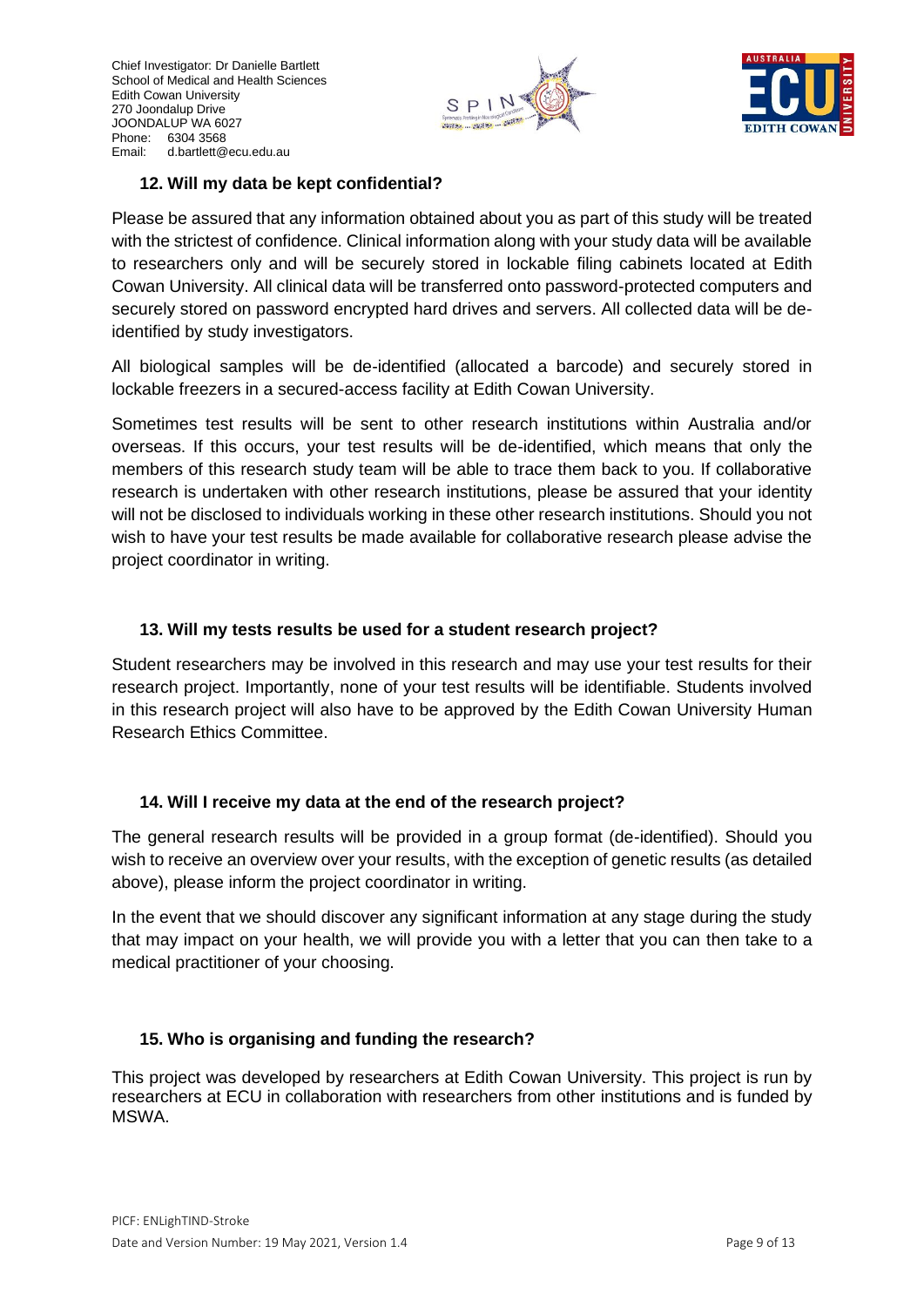



#### **12. Will my data be kept confidential?**

Please be assured that any information obtained about you as part of this study will be treated with the strictest of confidence. Clinical information along with your study data will be available to researchers only and will be securely stored in lockable filing cabinets located at Edith Cowan University. All clinical data will be transferred onto password-protected computers and securely stored on password encrypted hard drives and servers. All collected data will be deidentified by study investigators.

All biological samples will be de-identified (allocated a barcode) and securely stored in lockable freezers in a secured-access facility at Edith Cowan University.

Sometimes test results will be sent to other research institutions within Australia and/or overseas. If this occurs, your test results will be de-identified, which means that only the members of this research study team will be able to trace them back to you. If collaborative research is undertaken with other research institutions, please be assured that your identity will not be disclosed to individuals working in these other research institutions. Should you not wish to have your test results be made available for collaborative research please advise the project coordinator in writing.

## **13. Will my tests results be used for a student research project?**

Student researchers may be involved in this research and may use your test results for their research project. Importantly, none of your test results will be identifiable. Students involved in this research project will also have to be approved by the Edith Cowan University Human Research Ethics Committee.

## **14. Will I receive my data at the end of the research project?**

The general research results will be provided in a group format (de-identified). Should you wish to receive an overview over your results, with the exception of genetic results (as detailed above), please inform the project coordinator in writing.

In the event that we should discover any significant information at any stage during the study that may impact on your health, we will provide you with a letter that you can then take to a medical practitioner of your choosing.

## **15. Who is organising and funding the research?**

This project was developed by researchers at Edith Cowan University. This project is run by researchers at ECU in collaboration with researchers from other institutions and is funded by MSWA.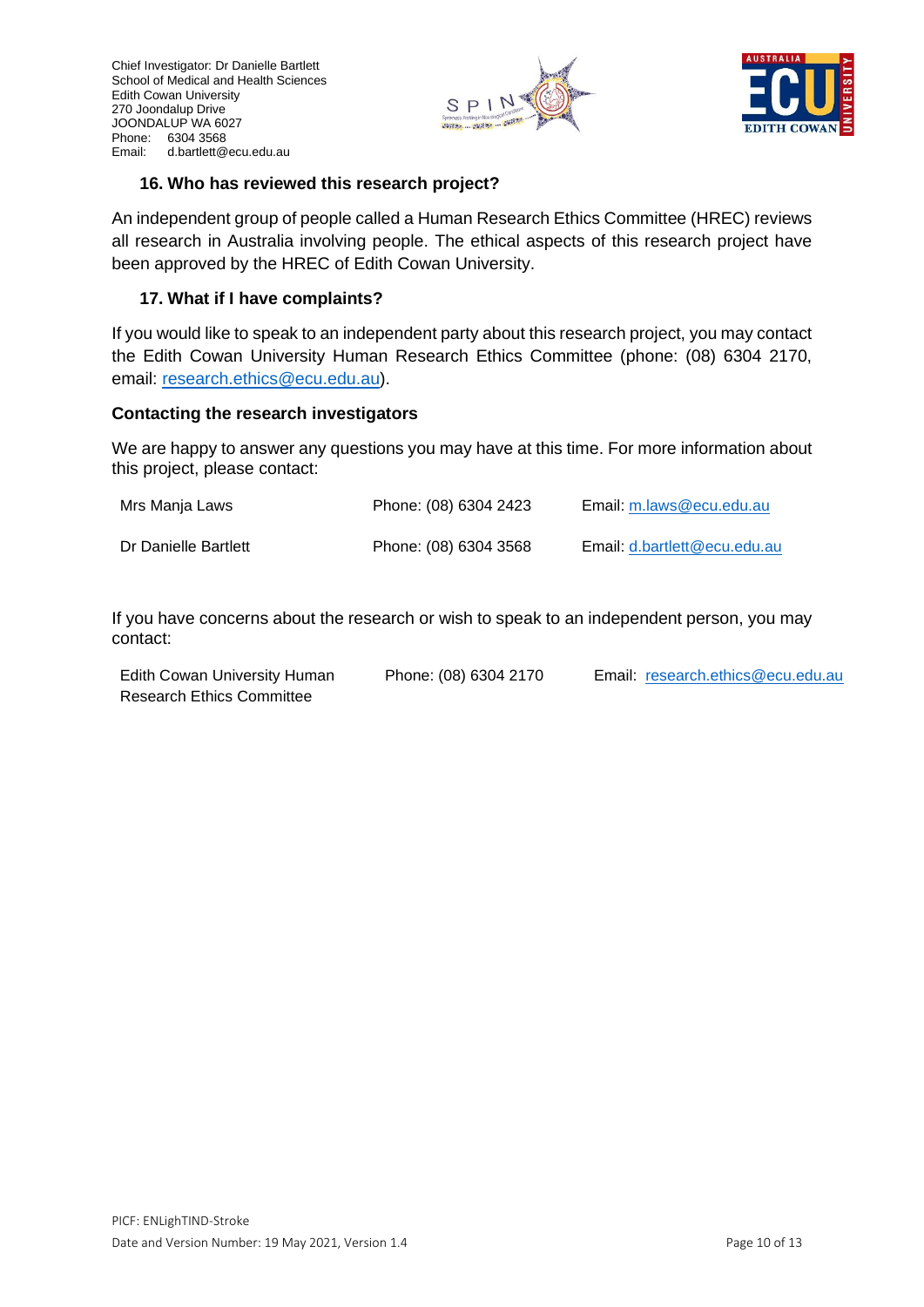



#### **16. Who has reviewed this research project?**

An independent group of people called a Human Research Ethics Committee (HREC) reviews all research in Australia involving people. The ethical aspects of this research project have been approved by the HREC of Edith Cowan University.

#### **17. What if I have complaints?**

If you would like to speak to an independent party about this research project, you may contact the Edith Cowan University Human Research Ethics Committee (phone: (08) 6304 2170, email: [research.ethics@ecu.edu.au\)](mailto:research.ethics@ecu.edu.au).

#### **Contacting the research investigators**

We are happy to answer any questions you may have at this time. For more information about this project, please contact:

| Mrs Manja Laws       | Phone: (08) 6304 2423 | Email: m.laws@ecu.edu.au     |
|----------------------|-----------------------|------------------------------|
| Dr Danielle Bartlett | Phone: (08) 6304 3568 | Email: d.bartlett@ecu.edu.au |

If you have concerns about the research or wish to speak to an independent person, you may contact:

| Edith Cowan University Human     | Phone: (08) 6304 2170 | Email: research.ethics@ecu.edu.au |
|----------------------------------|-----------------------|-----------------------------------|
| <b>Research Ethics Committee</b> |                       |                                   |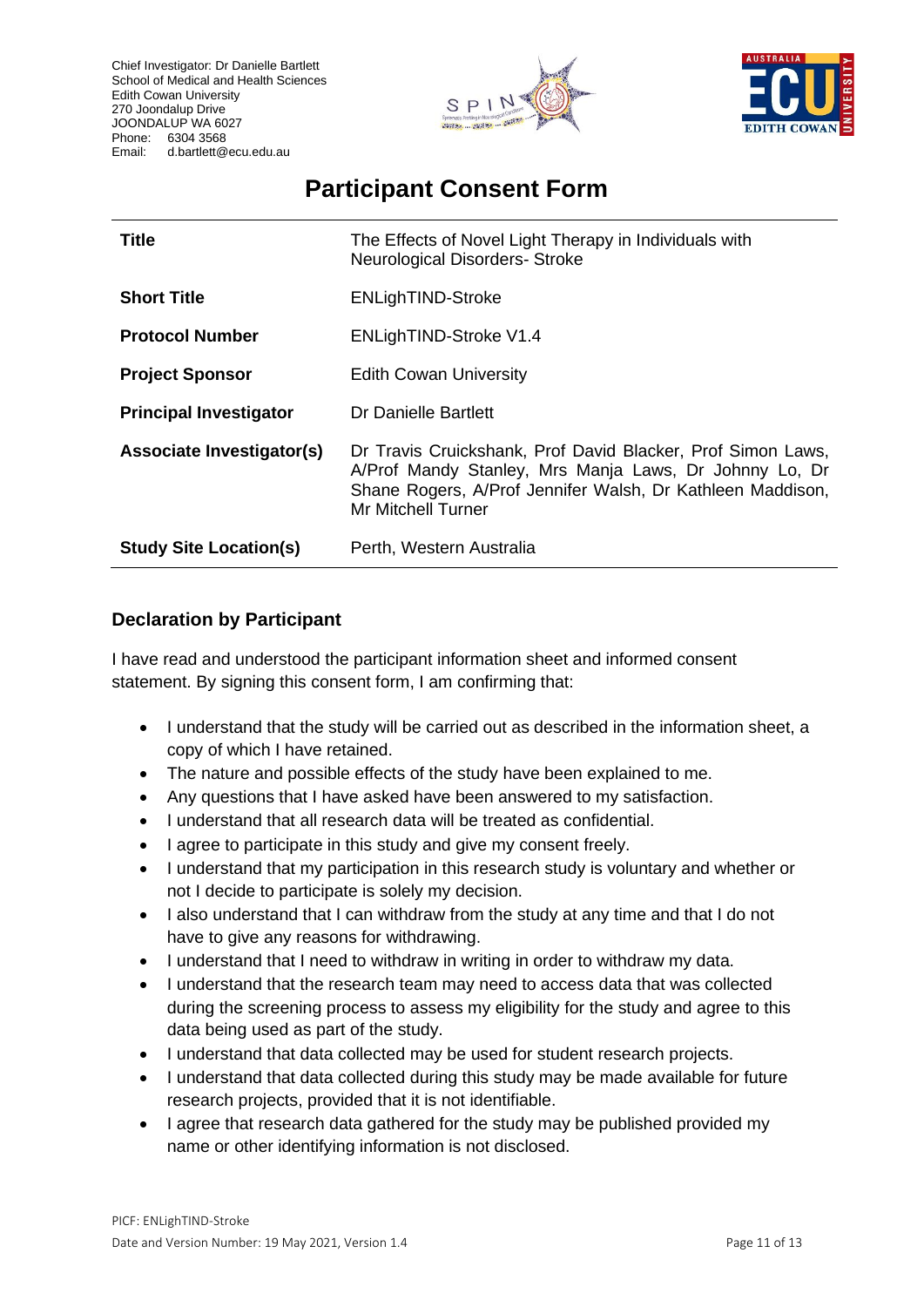Chief Investigator: Dr Danielle Bartlett School of Medical and Health Sciences Edith Cowan University 270 Joondalup Drive JOONDALUP WA 6027 Phone: 6304 3568 Email: d.bartlett@ecu.edu.au





# **Participant Consent Form**

| <b>Title</b>                     | The Effects of Novel Light Therapy in Individuals with<br><b>Neurological Disorders- Stroke</b>                                                                                                                  |
|----------------------------------|------------------------------------------------------------------------------------------------------------------------------------------------------------------------------------------------------------------|
| <b>Short Title</b>               | <b>ENLighTIND-Stroke</b>                                                                                                                                                                                         |
| <b>Protocol Number</b>           | ENLighTIND-Stroke V1.4                                                                                                                                                                                           |
| <b>Project Sponsor</b>           | <b>Edith Cowan University</b>                                                                                                                                                                                    |
| <b>Principal Investigator</b>    | Dr Danielle Bartlett                                                                                                                                                                                             |
| <b>Associate Investigator(s)</b> | Dr Travis Cruickshank, Prof David Blacker, Prof Simon Laws,<br>A/Prof Mandy Stanley, Mrs Manja Laws, Dr Johnny Lo, Dr<br>Shane Rogers, A/Prof Jennifer Walsh, Dr Kathleen Maddison,<br><b>Mr Mitchell Turner</b> |
| <b>Study Site Location(s)</b>    | Perth, Western Australia                                                                                                                                                                                         |

## **Declaration by Participant**

I have read and understood the participant information sheet and informed consent statement. By signing this consent form, I am confirming that:

- I understand that the study will be carried out as described in the information sheet, a copy of which I have retained.
- The nature and possible effects of the study have been explained to me.
- Any questions that I have asked have been answered to my satisfaction.
- I understand that all research data will be treated as confidential.
- I agree to participate in this study and give my consent freely.
- I understand that my participation in this research study is voluntary and whether or not I decide to participate is solely my decision.
- I also understand that I can withdraw from the study at any time and that I do not have to give any reasons for withdrawing.
- I understand that I need to withdraw in writing in order to withdraw my data.
- I understand that the research team may need to access data that was collected during the screening process to assess my eligibility for the study and agree to this data being used as part of the study.
- I understand that data collected may be used for student research projects.
- I understand that data collected during this study may be made available for future research projects, provided that it is not identifiable.
- I agree that research data gathered for the study may be published provided my name or other identifying information is not disclosed.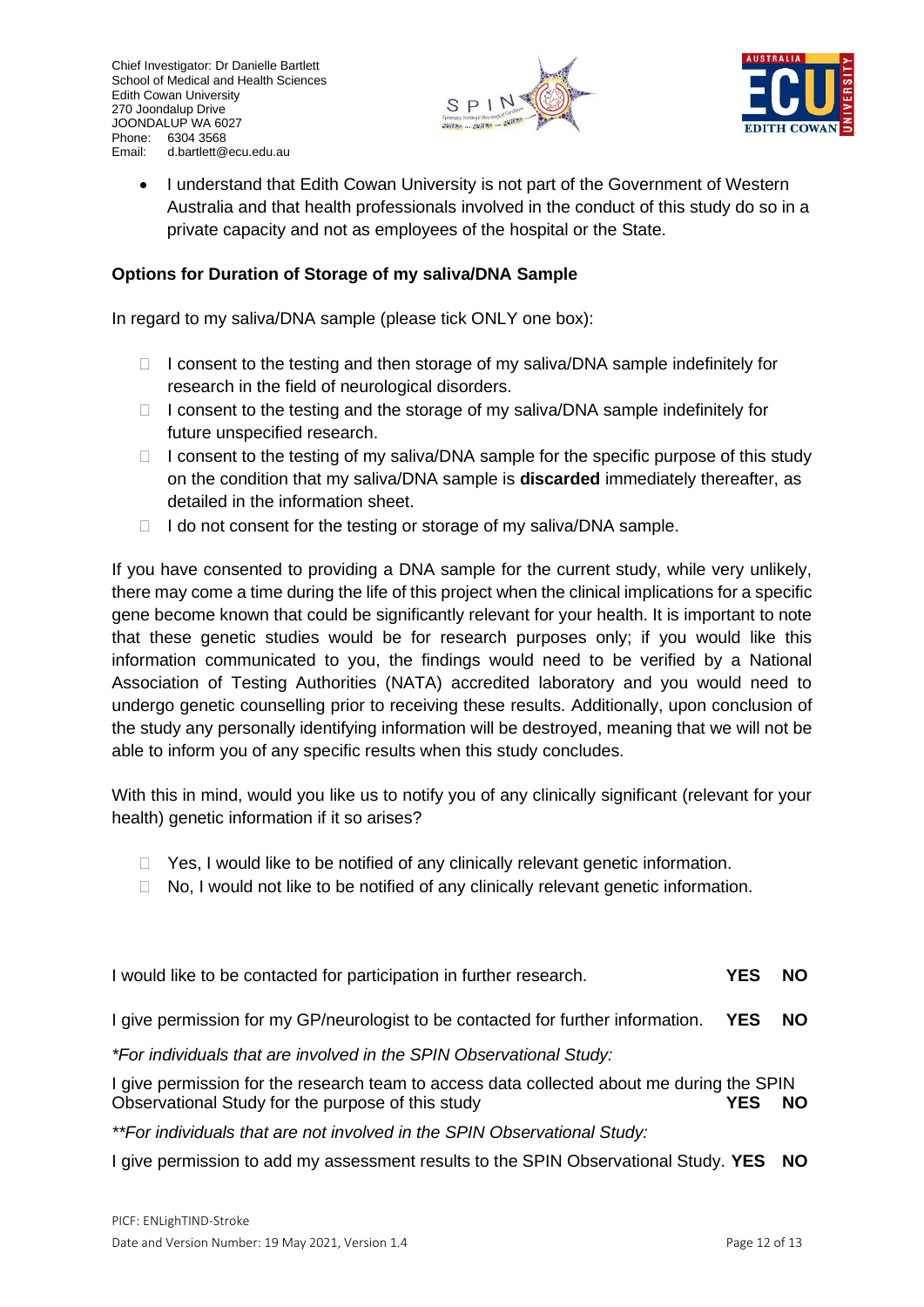



• I understand that Edith Cowan University is not part of the Government of Western Australia and that health professionals involved in the conduct of this study do so in a private capacity and not as employees of the hospital or the State.

#### **Options for Duration of Storage of my saliva/DNA Sample**

In regard to my saliva/DNA sample (please tick ONLY one box):

- $\Box$  I consent to the testing and then storage of my saliva/DNA sample indefinitely for research in the field of neurological disorders.
- $\Box$  I consent to the testing and the storage of my saliva/DNA sample indefinitely for future unspecified research.
- $\Box$  I consent to the testing of my saliva/DNA sample for the specific purpose of this study on the condition that my saliva/DNA sample is **discarded** immediately thereafter, as detailed in the information sheet.
- $\Box$  I do not consent for the testing or storage of my saliva/DNA sample.

If you have consented to providing a DNA sample for the current study, while very unlikely, there may come a time during the life of this project when the clinical implications for a specific gene become known that could be significantly relevant for your health. It is important to note that these genetic studies would be for research purposes only; if you would like this information communicated to you, the findings would need to be verified by a National Association of Testing Authorities (NATA) accredited laboratory and you would need to undergo genetic counselling prior to receiving these results. Additionally, upon conclusion of the study any personally identifying information will be destroyed, meaning that we will not be able to inform you of any specific results when this study concludes.

With this in mind, would you like us to notify you of any clinically significant (relevant for your health) genetic information if it so arises?

- $\Box$  Yes, I would like to be notified of any clinically relevant genetic information.
- $\Box$  No, I would not like to be notified of any clinically relevant genetic information.

| I would like to be contacted for participation in further research.                                                                            | <b>YES</b> | <b>NO</b> |
|------------------------------------------------------------------------------------------------------------------------------------------------|------------|-----------|
| I give permission for my GP/neurologist to be contacted for further information. YES                                                           |            | <b>NO</b> |
| *For individuals that are involved in the SPIN Observational Study:                                                                            |            |           |
| I give permission for the research team to access data collected about me during the SPIN<br>Observational Study for the purpose of this study | YFS        | NΟ        |
| **For individuals that are not involved in the SPIN Observational Study:                                                                       |            |           |

I give permission to add my assessment results to the SPIN Observational Study. **YES NO**